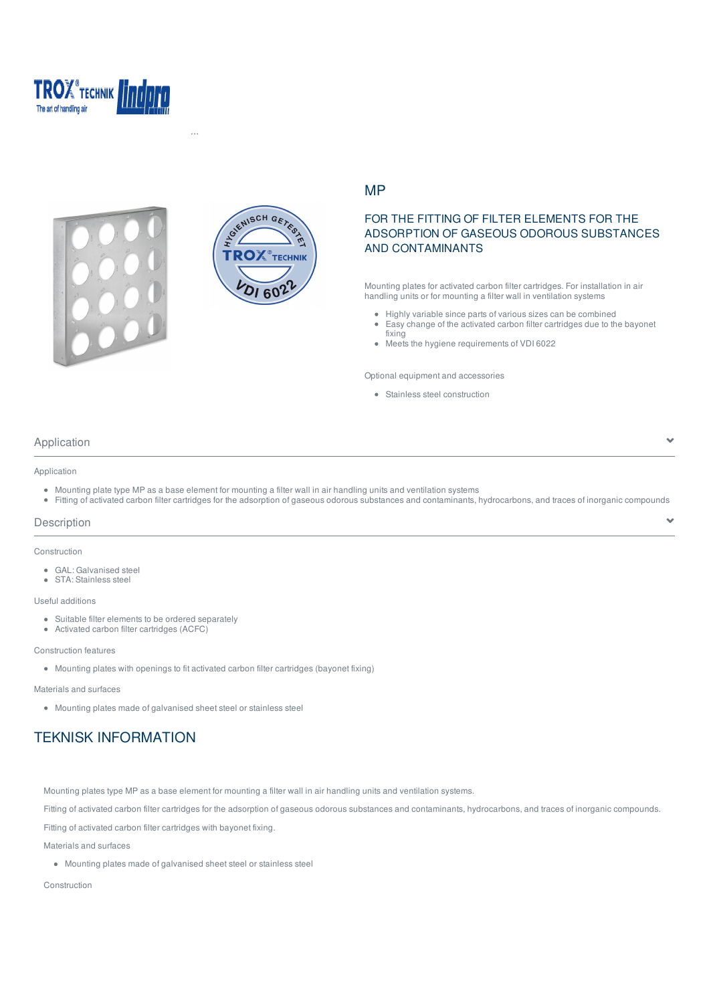





Hemsida > Produkter > Lindpro ... > Filter frames for wall installation > Mounting plates > MP

## MP

# FOR THE FITTING OF FILTER ELEMENTS FOR THE ADSORPTION OF GASEOUS ODOROUS SUBSTANCES AND CONTAMINANTS

Mounting plates for activated carbon filter cartridges. For installation in air handling units or for mounting a filter wall in ventilation systems

- Highly variable since parts of various sizes can be combined
- $\hat{\bullet}$ Easy change of the activated carbon filter cartridges due to the bayonet fixing

 $\overline{\phantom{a}}$ 

Y.

Meets the hygiene requirements of VDI 6022

Optional equipment and accessories

Stainless steel construction

## Application

### Application

- Mounting plate type MP as a base element for mounting a filter wall in air handling units and ventilation systems
- Fitting of activated carbon filter cartridges for the adsorption of gaseous odorous substances and contaminants, hydrocarbons, and traces of inorganic compounds

#### **Description**

#### Construction

GAL: Galvanised steel • STA: Stainless steel

#### Useful additions

- Suitable filter elements to be ordered separately
- Activated carbon filter cartridges (ACFC)

#### Construction features

Mounting plates with openings to fit activated carbon filter cartridges (bayonet fixing)

Materials and surfaces

Mounting plates made of galvanised sheet steel or stainless steel

# TEKNISK INFORMATION

Mounting plates type MP as a base element for mounting a filter wall in air handling units and ventilation systems.

Fitting of activated carbon filter cartridges for the adsorption of gaseous odorous substances and contaminants, hydrocarbons, and traces of inorganic compounds.

Fitting of activated carbon filter cartridges with bayonet fixing.

Materials and surfaces

Mounting plates made of galvanised sheet steel or stainless steel

Construction